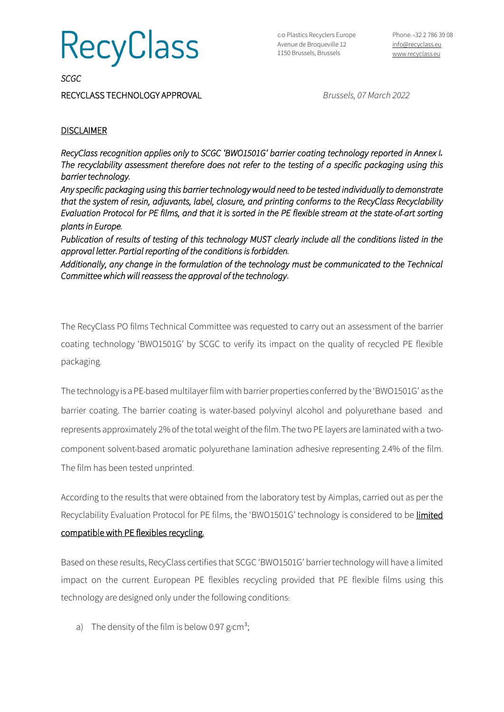**RecyClass** 

*SCGC* 

RECYCLASS TECHNOLOGY APPROVAL*Brussels, 07 March 2022*

## **DISCLAIMER**

*RecyClass recognition applies only to SCGC 'BWO1501G' barrier coating technology reported in Annex I. The recyclability assessment therefore does not refer to the testing of a specific packaging using this barrier technology.* 

*Any specific packaging using this barrier technologywould need to be tested individually to demonstrate that the system of resin, adjuvants, label, closure, and printing conforms to the RecyClass Recyclability Evaluation Protocol for PE films, and that it is sorted in the PE flexible stream at the state-of-art sorting plants in Europe.* 

*Publication of results of testing of this technology MUST clearly include all the conditions listed in the approval letter. Partial reporting of the conditions is forbidden.* 

*Additionally, any change in the formulation of the technology must be communicated to the Technical Committee which will reassess the approval of the technology***.**

The RecyClass PO films Technical Committee was requested to carry out an assessment of the barrier coating technology 'BWO1501G' by SCGC to verify its impact on the quality of recycled PE flexible packaging.

The technology is aPE-based multilayer film with barrier properties conferred by the 'BWO1501G' as the barrier coating. The barrier coating is water-based polyvinyl alcohol and polyurethane based and represents approximately 2% of the total weight of the film. The two PE layers are laminated with a twocomponent solvent-based aromatic polyurethane lamination adhesive representing 2.4% of the film. The film has been tested unprinted.

According to the results that were obtained from the laboratory test by Aimplas, carried out as per the Recyclability Evaluation Protocol for PE films, the 'BWO1501G' technology is considered to be *limited* compatible with PE flexibles recycling**.**

Based on these results, RecyClass certifies that SCGC 'BWO1501G' barriertechnologywill have a limited impact on the current European PE flexibles recycling provided that PE flexible films using this technology are designed only under the following conditions:

a) The density of the film is below 0.97 g/cm<sup>3</sup>;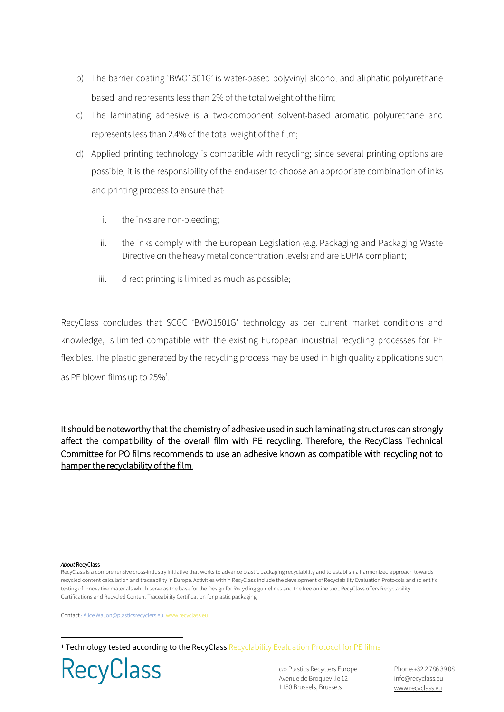- b) The barrier coating 'BWO1501G' is water-based polyvinyl alcohol and aliphatic polyurethane based and represents less than 2% of the total weight of the film;
- c) The laminating adhesive is a two-component solvent-based aromatic polyurethane and represents less than 2.4% of the total weight of the film;
- d) Applied printing technology is compatible with recycling; since several printing options are possible, it is the responsibility of the end-user to choose an appropriate combination of inks and printing process to ensure that:
	- i. the inks are non-bleeding;
	- ii. the inks comply with the European Legislation (e.g. Packaging and Packaging Waste Directive on the heavy metal concentration levels) and are EUPIA compliant;
	- iii. direct printing is limited as much as possible;

RecyClass concludes that SCGC 'BWO1501G' technology as per current market conditions and knowledge, is limited compatible with the existing European industrial recycling processes for PE flexibles. The plastic generated by the recycling process may be used in high quality applications such as PE blown films up to 25%<sup>1</sup>. .

It should be noteworthy that the chemistry of adhesive used in such laminating structures can strongly affect the compatibility of the overall film with PE recycling**.** Therefore, the RecyClass Technical Committee for PO films recommends to use an adhesive known as compatible with recycling not to hamper the recyclability of the film**.** 

## *About* RecyClass

RecyClass is a comprehensive cross-industry initiative that works to advance plastic packaging recyclability and to establish a harmonized approach towards recycled content calculation and traceability in Europe. Activities within RecyClass include the development of Recyclability Evaluation Protocols and scientific testing of innovative materials which serve as the base for the Design for Recycling guidelines and the free online tool. RecyClass offers Recyclability Certifications and Recycled Content Traceability Certification for plastic packaging.

Contact : Alice.Wallon@plasticsrecyclers.eu, www.[recyclass](http://www.recyclass.eu/).eu

<sup>1</sup> Technology tested according to the RecyClass [Recyclability Evaluation Protocol for PE films](https://recyclass.eu/recyclability/test-methods/)



c/o Plastics Recyclers Europe Avenue de Broqueville 12 1150 Brussels, Brussels

Phone:+32 2 786 39 08 [info@recyclass](mailto:info@recyclass.eu).eu www.[recyclass](http://www.recyclass.eu/).eu